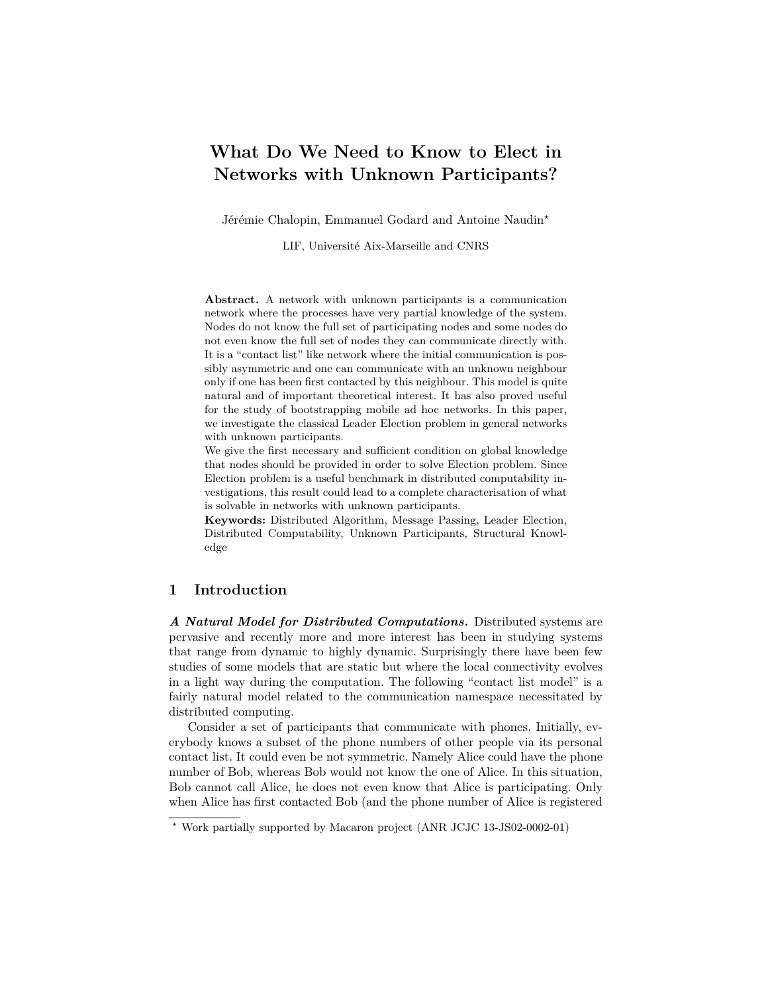# **What Do We Need to Know to Elect in Networks with Unknown Participants?**

Jérémie Chalopin, Emmanuel Godard and Antoine Naudin*?*

LIF, Université Aix-Marseille and CNRS

**Abstract.** A network with unknown participants is a communication network where the processes have very partial knowledge of the system. Nodes do not know the full set of participating nodes and some nodes do not even know the full set of nodes they can communicate directly with. It is a "contact list" like network where the initial communication is possibly asymmetric and one can communicate with an unknown neighbour only if one has been first contacted by this neighbour. This model is quite natural and of important theoretical interest. It has also proved useful for the study of bootstrapping mobile ad hoc networks. In this paper, we investigate the classical Leader Election problem in general networks with unknown participants.

We give the first necessary and sufficient condition on global knowledge that nodes should be provided in order to solve Election problem. Since Election problem is a useful benchmark in distributed computability investigations, this result could lead to a complete characterisation of what is solvable in networks with unknown participants.

**Keywords:** Distributed Algorithm, Message Passing, Leader Election, Distributed Computability, Unknown Participants, Structural Knowledge

# **1 Introduction**

*A Natural Model for Distributed Computations.* Distributed systems are pervasive and recently more and more interest has been in studying systems that range from dynamic to highly dynamic. Surprisingly there have been few studies of some models that are static but where the local connectivity evolves in a light way during the computation. The following "contact list model" is a fairly natural model related to the communication namespace necessitated by distributed computing.

Consider a set of participants that communicate with phones. Initially, everybody knows a subset of the phone numbers of other people via its personal contact list. It could even be not symmetric. Namely Alice could have the phone number of Bob, whereas Bob would not know the one of Alice. In this situation, Bob cannot call Alice, he does not even know that Alice is participating. Only when Alice has first contacted Bob (and the phone number of Alice is registered

*<sup>?</sup>* Work partially supported by Macaron project (ANR JCJC 13-JS02-0002-01)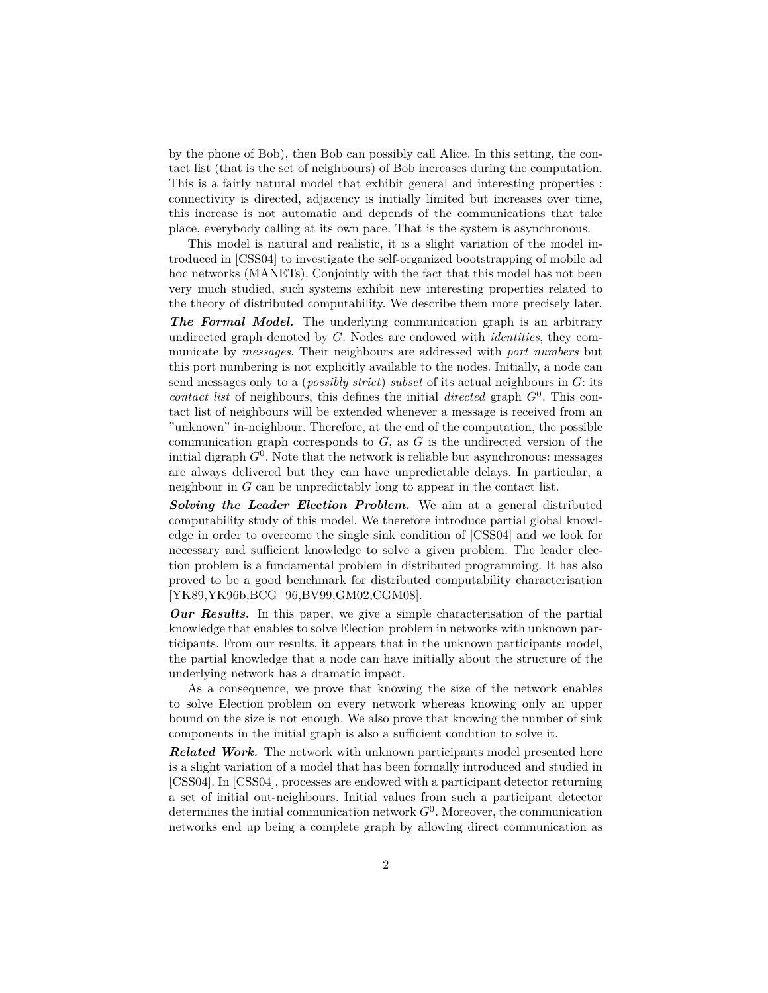by the phone of Bob), then Bob can possibly call Alice. In this setting, the contact list (that is the set of neighbours) of Bob increases during the computation. This is a fairly natural model that exhibit general and interesting properties : connectivity is directed, adjacency is initially limited but increases over time, this increase is not automatic and depends of the communications that take place, everybody calling at its own pace. That is the system is asynchronous.

This model is natural and realistic, it is a slight variation of the model introduced in [CSS04] to investigate the self-organized bootstrapping of mobile ad hoc networks (MANETs). Conjointly with the fact that this model has not been very much studied, such systems exhibit new interesting properties related to the theory of distributed computability. We describe them more precisely later.

*The Formal Model.* The underlying communication graph is an arbitrary undirected graph denoted by *G*. Nodes are endowed with *identities*, they communicate by *messages*. Their neighbours are addressed with *port numbers* but this port numbering is not explicitly available to the nodes. Initially, a node can send messages only to a (*possibly strict*) *subset* of its actual neighbours in *G*: its *contact list* of neighbours, this defines the initial *directed* graph  $G^0$ . This contact list of neighbours will be extended whenever a message is received from an "unknown" in-neighbour. Therefore, at the end of the computation, the possible communication graph corresponds to *G*, as *G* is the undirected version of the initial digraph *G*<sup>0</sup> . Note that the network is reliable but asynchronous: messages are always delivered but they can have unpredictable delays. In particular, a neighbour in *G* can be unpredictably long to appear in the contact list.

*Solving the Leader Election Problem.* We aim at a general distributed computability study of this model. We therefore introduce partial global knowledge in order to overcome the single sink condition of [CSS04] and we look for necessary and sufficient knowledge to solve a given problem. The leader election problem is a fundamental problem in distributed programming. It has also proved to be a good benchmark for distributed computability characterisation [YK89,YK96b,BCG<sup>+</sup>96,BV99,GM02,CGM08].

*Our Results.* In this paper, we give a simple characterisation of the partial knowledge that enables to solve Election problem in networks with unknown participants. From our results, it appears that in the unknown participants model, the partial knowledge that a node can have initially about the structure of the underlying network has a dramatic impact.

As a consequence, we prove that knowing the size of the network enables to solve Election problem on every network whereas knowing only an upper bound on the size is not enough. We also prove that knowing the number of sink components in the initial graph is also a sufficient condition to solve it.

*Related Work.* The network with unknown participants model presented here is a slight variation of a model that has been formally introduced and studied in [CSS04]. In [CSS04], processes are endowed with a participant detector returning a set of initial out-neighbours. Initial values from such a participant detector determines the initial communication network *G*<sup>0</sup> . Moreover, the communication networks end up being a complete graph by allowing direct communication as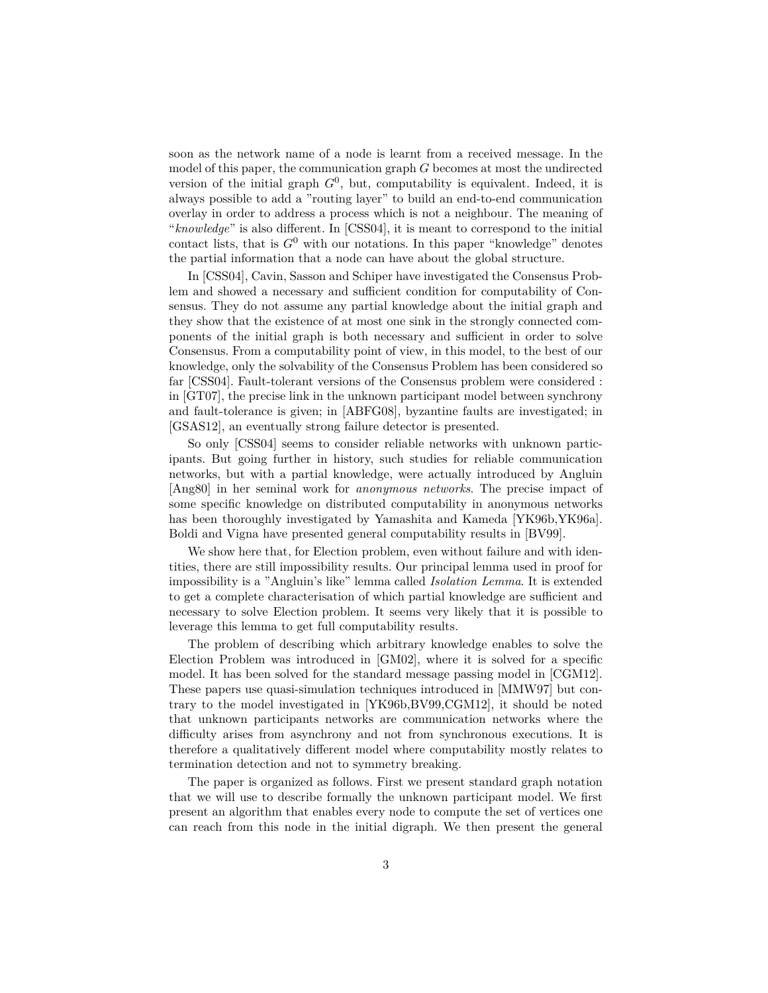soon as the network name of a node is learnt from a received message. In the model of this paper, the communication graph *G* becomes at most the undirected version of the initial graph  $G^0$ , but, computability is equivalent. Indeed, it is always possible to add a "routing layer" to build an end-to-end communication overlay in order to address a process which is not a neighbour. The meaning of "*knowledge*" is also different. In [CSS04], it is meant to correspond to the initial contact lists, that is  $G^0$  with our notations. In this paper "knowledge" denotes the partial information that a node can have about the global structure.

In [CSS04], Cavin, Sasson and Schiper have investigated the Consensus Problem and showed a necessary and sufficient condition for computability of Consensus. They do not assume any partial knowledge about the initial graph and they show that the existence of at most one sink in the strongly connected components of the initial graph is both necessary and sufficient in order to solve Consensus. From a computability point of view, in this model, to the best of our knowledge, only the solvability of the Consensus Problem has been considered so far [CSS04]. Fault-tolerant versions of the Consensus problem were considered : in [GT07], the precise link in the unknown participant model between synchrony and fault-tolerance is given; in [ABFG08], byzantine faults are investigated; in [GSAS12], an eventually strong failure detector is presented.

So only [CSS04] seems to consider reliable networks with unknown participants. But going further in history, such studies for reliable communication networks, but with a partial knowledge, were actually introduced by Angluin [Ang80] in her seminal work for *anonymous networks*. The precise impact of some specific knowledge on distributed computability in anonymous networks has been thoroughly investigated by Yamashita and Kameda [YK96b,YK96a]. Boldi and Vigna have presented general computability results in [BV99].

We show here that, for Election problem, even without failure and with identities, there are still impossibility results. Our principal lemma used in proof for impossibility is a "Angluin's like" lemma called *Isolation Lemma*. It is extended to get a complete characterisation of which partial knowledge are sufficient and necessary to solve Election problem. It seems very likely that it is possible to leverage this lemma to get full computability results.

The problem of describing which arbitrary knowledge enables to solve the Election Problem was introduced in [GM02], where it is solved for a specific model. It has been solved for the standard message passing model in [CGM12]. These papers use quasi-simulation techniques introduced in [MMW97] but contrary to the model investigated in [YK96b,BV99,CGM12], it should be noted that unknown participants networks are communication networks where the difficulty arises from asynchrony and not from synchronous executions. It is therefore a qualitatively different model where computability mostly relates to termination detection and not to symmetry breaking.

The paper is organized as follows. First we present standard graph notation that we will use to describe formally the unknown participant model. We first present an algorithm that enables every node to compute the set of vertices one can reach from this node in the initial digraph. We then present the general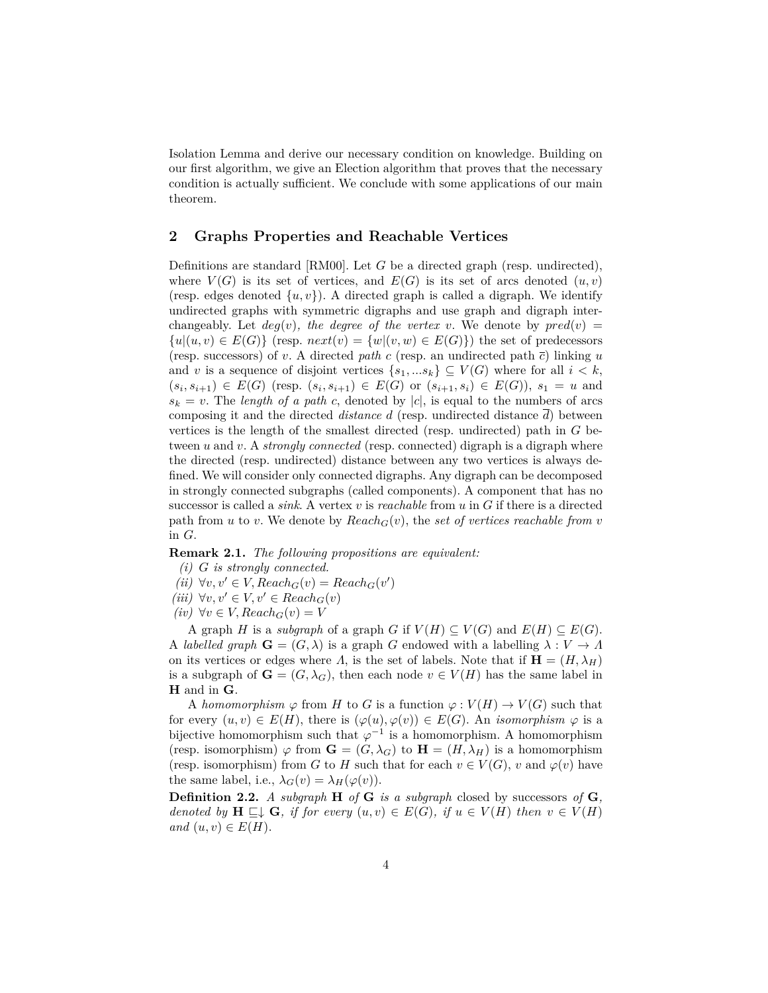Isolation Lemma and derive our necessary condition on knowledge. Building on our first algorithm, we give an Election algorithm that proves that the necessary condition is actually sufficient. We conclude with some applications of our main theorem.

## **2 Graphs Properties and Reachable Vertices**

Definitions are standard [RM00]. Let *G* be a directed graph (resp. undirected), where  $V(G)$  is its set of vertices, and  $E(G)$  is its set of arcs denoted  $(u, v)$ (resp. edges denoted  $\{u, v\}$ ). A directed graph is called a digraph. We identify undirected graphs with symmetric digraphs and use graph and digraph interchangeably. Let  $deg(v)$ , the degree of the vertex *v*. We denote by  $pred(v)$  ${u(u, v) \in E(G)}$  (resp. *next*(*v*) =  ${w(v, w) \in E(G)}$  the set of predecessors (resp. successors) of *v*. A directed *path c* (resp. an undirected path  $\bar{c}$ ) linking *u* and *v* is a sequence of disjoint vertices  $\{s_1, \ldots s_k\} \subseteq V(G)$  where for all  $i < k$ ,  $(s_i, s_{i+1}) \in E(G)$  (resp.  $(s_i, s_{i+1}) \in E(G)$  or  $(s_{i+1}, s_i) \in E(G)$ ),  $s_1 = u$  and  $s_k = v$ . The *length of a path c*, denoted by |*c*|, is equal to the numbers of arcs composing it and the directed *distance d* (resp. undirected distance  $\overline{d}$ ) between vertices is the length of the smallest directed (resp. undirected) path in *G* between *u* and *v*. A *strongly connected* (resp. connected) digraph is a digraph where the directed (resp. undirected) distance between any two vertices is always defined. We will consider only connected digraphs. Any digraph can be decomposed in strongly connected subgraphs (called components). A component that has no successor is called a *sink*. A vertex *v* is *reachable* from *u* in *G* if there is a directed path from *u* to *v*. We denote by  $Reach_G(v)$ , the *set of vertices reachable from <i>v* in *G*.

**Remark 2.1.** *The following propositions are equivalent:*

- *(i) G is strongly connected.*
- $(iii)$  ∀*v*, *v*' ∈ *V*,  $Reach_G(v) =Reach_G(v')$
- $(iii)$   $\forall v, v' \in V, v' \in Reach_G(v)$
- *(iv)* ∀*v* ∈ *V*,  $Reach_G(v) = V$

A graph *H* is a *subgraph* of a graph *G* if  $V(H) \subseteq V(G)$  and  $E(H) \subseteq E(G)$ . A *labelled graph*  $\mathbf{G} = (G, \lambda)$  is a graph *G* endowed with a labelling  $\lambda : V \to \Lambda$ on its vertices or edges where *Λ*, is the set of labels. Note that if  $\mathbf{H} = (H, \lambda_H)$ is a subgraph of  $\mathbf{G} = (G, \lambda_G)$ , then each node  $v \in V(H)$  has the same label in **H** and in **G**.

A *homomorphism*  $\varphi$  from *H* to *G* is a function  $\varphi: V(H) \to V(G)$  such that for every  $(u, v) \in E(H)$ , there is  $(\varphi(u), \varphi(v)) \in E(G)$ . An *isomorphism*  $\varphi$  is a bijective homomorphism such that  $\varphi^{-1}$  is a homomorphism. A homomorphism (resp. isomorphism)  $\varphi$  from  $\mathbf{G} = (G, \lambda_G)$  to  $\mathbf{H} = (H, \lambda_H)$  is a homomorphism (resp. isomorphism) from *G* to *H* such that for each  $v \in V(G)$ , *v* and  $\varphi(v)$  have the same label, i.e.,  $\lambda_G(v) = \lambda_H(\varphi(v))$ .

**Definition 2.2.** *A subgraph* **H** *of* **G** *is a subgraph* closed by successors *of* **G***, denoted by*  $\mathbf{H} \subseteq \downarrow \mathbf{G}$ *, if for every*  $(u, v) \in E(G)$ *, if*  $u \in V(H)$  *then*  $v \in V(H)$  $and (u, v) \in E(H)$ .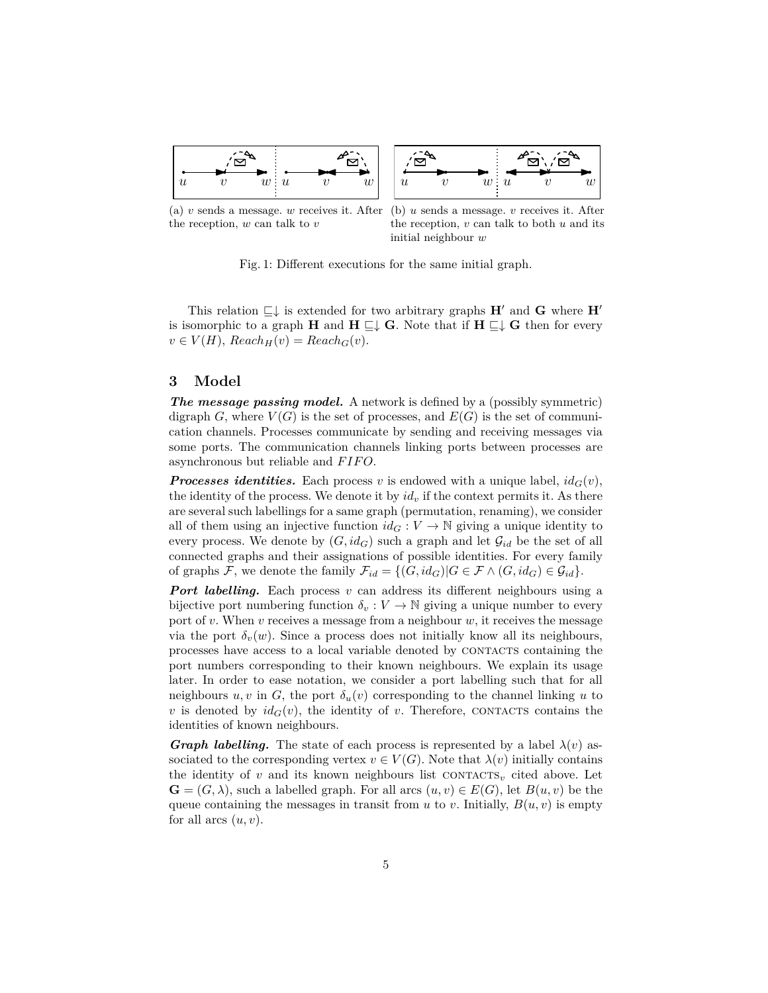



(a) *v* sends a message. *w* receives it. After the reception, *w* can talk to *v*

(b) *u* sends a message. *v* receives it. After the reception, *v* can talk to both *u* and its initial neighbour *w*

Fig. 1: Different executions for the same initial graph.

This relation  $\sqsubseteq \downarrow$  is extended for two arbitrary graphs **H**<sup> $\prime$ </sup> and **G** where **H**<sup> $\prime$ </sup> is isomorphic to a graph **H** and **H**  $\subseteq$   $\downarrow$  **G**. Note that if **H**  $\subseteq$   $\downarrow$  **G** then for every  $v \in V(H)$ ,  $Reach_H(v) =Reach_G(v)$ .

## **3 Model**

*The message passing model.* A network is defined by a (possibly symmetric) digraph *G*, where  $V(G)$  is the set of processes, and  $E(G)$  is the set of communication channels. Processes communicate by sending and receiving messages via some ports. The communication channels linking ports between processes are asynchronous but reliable and *F IF O*.

*Processes identities.* Each process *v* is endowed with a unique label,  $id_G(v)$ , the identity of the process. We denote it by  $id_v$  if the context permits it. As there are several such labellings for a same graph (permutation, renaming), we consider all of them using an injective function  $id_G: V \to \mathbb{N}$  giving a unique identity to every process. We denote by  $(G, id_G)$  such a graph and let  $\mathcal{G}_{id}$  be the set of all connected graphs and their assignations of possible identities. For every family of graphs F, we denote the family  $\mathcal{F}_{id} = \{(G, id_G) | G \in \mathcal{F} \wedge (G, id_G) \in \mathcal{G}_{id}\}.$ 

*Port labelling.* Each process *v* can address its different neighbours using a bijective port numbering function  $\delta_v : V \to \mathbb{N}$  giving a unique number to every port of *v*. When *v* receives a message from a neighbour *w*, it receives the message via the port  $\delta_v(w)$ . Since a process does not initially know all its neighbours, processes have access to a local variable denoted by CONTACTS containing the port numbers corresponding to their known neighbours. We explain its usage later. In order to ease notation, we consider a port labelling such that for all neighbours  $u, v$  in  $G$ , the port  $\delta_u(v)$  corresponding to the channel linking  $u$  to *v* is denoted by  $id_G(v)$ , the identity of *v*. Therefore, CONTACTS contains the identities of known neighbours.

*Graph labelling.* The state of each process is represented by a label  $\lambda(v)$  associated to the corresponding vertex  $v \in V(G)$ . Note that  $\lambda(v)$  initially contains the identity of  $v$  and its known neighbours list contacts, cited above. Let  $\mathbf{G} = (G, \lambda)$ , such a labelled graph. For all arcs  $(u, v) \in E(G)$ , let  $B(u, v)$  be the queue containing the messages in transit from  $u$  to  $v$ . Initially,  $B(u, v)$  is empty for all arcs  $(u, v)$ .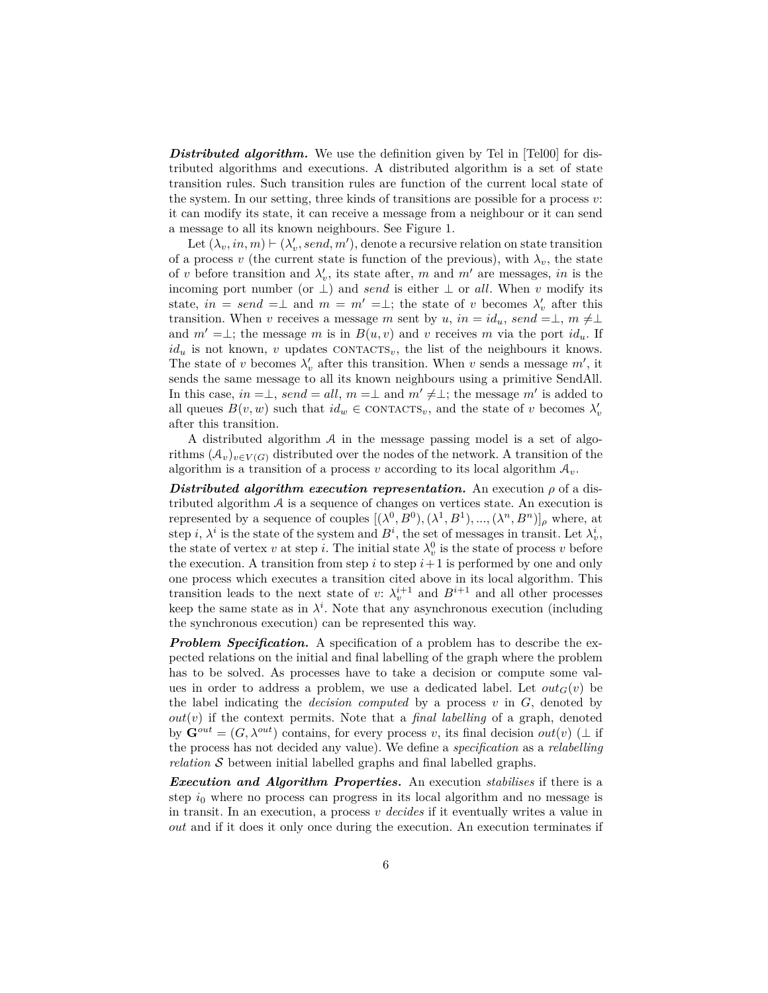**Distributed algorithm.** We use the definition given by Tel in [Tel00] for distributed algorithms and executions. A distributed algorithm is a set of state transition rules. Such transition rules are function of the current local state of the system. In our setting, three kinds of transitions are possible for a process *v*: it can modify its state, it can receive a message from a neighbour or it can send a message to all its known neighbours. See Figure 1.

Let  $(\lambda_v, in, m) \vdash (\lambda_v', send, m'),$  denote a recursive relation on state transition of a process *v* (the current state is function of the previous), with  $\lambda_v$ , the state of *v* before transition and  $\lambda'_v$ , its state after, *m* and *m'* are messages, *in* is the incoming port number (or  $\perp$ ) and *send* is either  $\perp$  or *all*. When *v* modify its state,  $in = send = \perp$  and  $m = m' = \perp$ ; the state of *v* becomes  $\lambda'_v$  after this transition. When *v* receives a message *m* sent by *u*, *in* = *id<sub>u</sub>*, *send* =  $\perp$ , *m*  $\neq$   $\perp$ and  $m' = \perp$ ; the message *m* is in  $B(u, v)$  and *v* receives *m* via the port  $id_u$ . If  $id_u$  is not known, *v* updates CONTACTS<sub>v</sub>, the list of the neighbours it knows. The state of *v* becomes  $\lambda'_v$  after this transition. When *v* sends a message  $m'$ , it sends the same message to all its known neighbours using a primitive SendAll. In this case,  $in = \perp$ ,  $send = all$ ,  $m = \perp$  and  $m' \neq \perp$ ; the message  $m'$  is added to all queues  $B(v, w)$  such that  $id_w \in \text{CONTACS}_v$ , and the state of *v* becomes  $\lambda'_v$ after this transition.

A distributed algorithm A in the message passing model is a set of algorithms  $(\mathcal{A}_v)_{v \in V(G)}$  distributed over the nodes of the network. A transition of the algorithm is a transition of a process *v* according to its local algorithm  $A_v$ .

*Distributed algorithm execution representation.* An execution  $\rho$  of a distributed algorithm  $A$  is a sequence of changes on vertices state. An execution is represented by a sequence of couples  $[(\lambda^0, B^0), (\lambda^1, B^1), ..., (\lambda^n, B^n)]_\rho$  where, at step *i*,  $\lambda^i$  is the state of the system and  $B^i$ , the set of messages in transit. Let  $\lambda^i_v$ , the state of vertex *v* at step *i*. The initial state  $\lambda_v^0$  is the state of process *v* before the execution. A transition from step  $i$  to step  $i+1$  is performed by one and only one process which executes a transition cited above in its local algorithm. This transition leads to the next state of *v*:  $\lambda_v^{i+1}$  and  $B^{i+1}$  and all other processes keep the same state as in  $\lambda^i$ . Note that any asynchronous execution (including the synchronous execution) can be represented this way.

*Problem Specification.* A specification of a problem has to describe the expected relations on the initial and final labelling of the graph where the problem has to be solved. As processes have to take a decision or compute some values in order to address a problem, we use a dedicated label. Let  $out_G(v)$  be the label indicating the *decision computed* by a process  $v$  in  $G$ , denoted by  $out(v)$  if the context permits. Note that a *final labelling* of a graph, denoted by  $\mathbf{G}^{out} = (G, \lambda^{out})$  contains, for every process *v*, its final decision *out*(*v*) ( $\perp$  if the process has not decided any value). We define a *specification* as a *relabelling relation* S between initial labelled graphs and final labelled graphs.

*Execution and Algorithm Properties.* An execution *stabilises* if there is a step *i*<sup>0</sup> where no process can progress in its local algorithm and no message is in transit. In an execution, a process *v decides* if it eventually writes a value in *out* and if it does it only once during the execution. An execution terminates if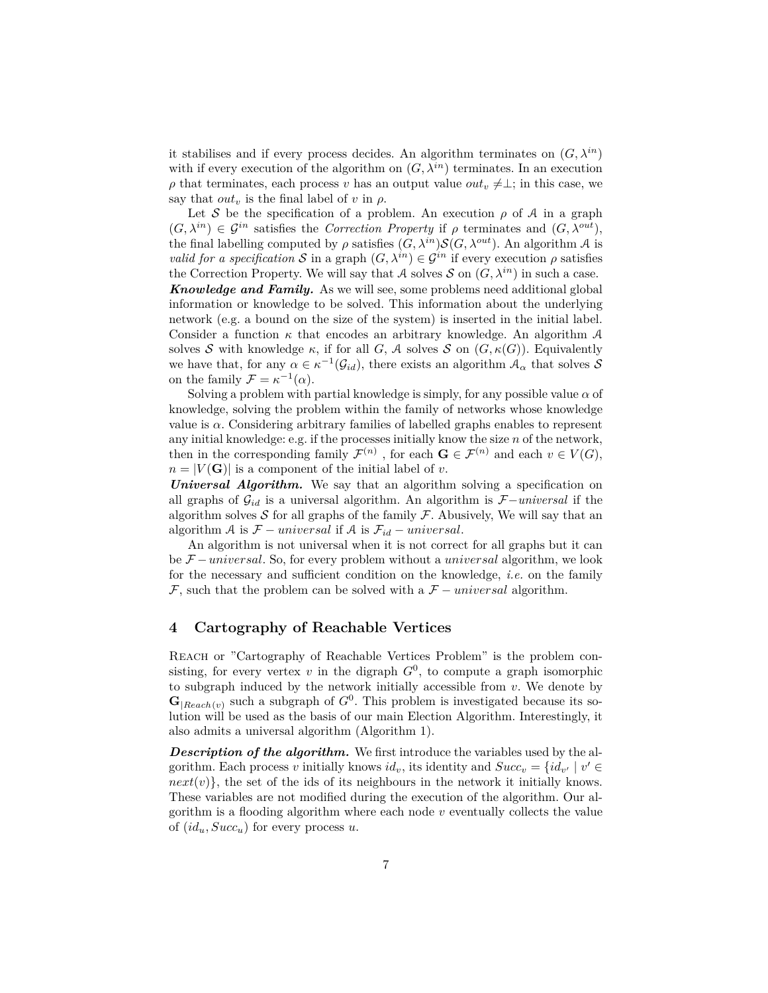it stabilises and if every process decides. An algorithm terminates on  $(G, \lambda^{in})$ with if every execution of the algorithm on  $(G, \lambda^{in})$  terminates. In an execution *ρ* that terminates, each process *v* has an output value  $out_v \neq \perp$ ; in this case, we say that  $out_v$  is the final label of *v* in  $\rho$ .

Let S be the specification of a problem. An execution  $\rho$  of A in a graph  $(G, \lambda^{in}) \in \mathcal{G}^{in}$  satisfies the *Correction Property* if  $\rho$  terminates and  $(G, \lambda^{out})$ , the final labelling computed by  $\rho$  satisfies  $(G, \lambda^{in})\mathcal{S}(G, \lambda^{out})$ . An algorithm A is *valid for a specification* S in a graph  $(G, \lambda^{in}) \in \mathcal{G}^{in}$  if every execution  $\rho$  satisfies the Correction Property. We will say that A solves  $S$  on  $(G, \lambda^{in})$  in such a case. *Knowledge and Family.* As we will see, some problems need additional global information or knowledge to be solved. This information about the underlying network (e.g. a bound on the size of the system) is inserted in the initial label. Consider a function  $\kappa$  that encodes an arbitrary knowledge. An algorithm  $\mathcal A$ solves S with knowledge  $\kappa$ , if for all *G*, *A* solves S on  $(G, \kappa(G))$ . Equivalently we have that, for any  $\alpha \in \kappa^{-1}(\mathcal{G}_{id})$ , there exists an algorithm  $\mathcal{A}_{\alpha}$  that solves S on the family  $\mathcal{F} = \kappa^{-1}(\alpha)$ .

Solving a problem with partial knowledge is simply, for any possible value  $\alpha$  of knowledge, solving the problem within the family of networks whose knowledge value is  $\alpha$ . Considering arbitrary families of labelled graphs enables to represent any initial knowledge: e.g. if the processes initially know the size *n* of the network, then in the corresponding family  $\mathcal{F}^{(n)}$ , for each  $\mathbf{G} \in \mathcal{F}^{(n)}$  and each  $v \in V(G)$ ,  $n = |V(G)|$  is a component of the initial label of *v*.

*Universal Algorithm.* We say that an algorithm solving a specification on all graphs of G*id* is a universal algorithm. An algorithm is F−*universal* if the algorithm solves  $S$  for all graphs of the family  $F$ . Abusively, We will say that an algorithm  $A$  is  $F$  − *universal* if  $A$  is  $F_{id}$  − *universal*.

An algorithm is not universal when it is not correct for all graphs but it can be F −*universal*. So, for every problem without a *universal* algorithm, we look for the necessary and sufficient condition on the knowledge, *i.e.* on the family  $\mathcal{F}$ , such that the problem can be solved with a  $\mathcal{F}$  – *universal* algorithm.

## **4 Cartography of Reachable Vertices**

Reach or "Cartography of Reachable Vertices Problem" is the problem consisting, for every vertex  $v$  in the digraph  $G^0$ , to compute a graph isomorphic to subgraph induced by the network initially accessible from *v*. We denote by  $\mathbf{G}_{|Reach(v)}$  such a subgraph of  $G^0$ . This problem is investigated because its solution will be used as the basis of our main Election Algorithm. Interestingly, it also admits a universal algorithm (Algorithm 1).

*Description of the algorithm.* We first introduce the variables used by the algorithm. Each process *v* initially knows  $id_v$ , its identity and  $Succ_v = \{id_{v'} | v' \in$  $next(v)$ , the set of the ids of its neighbours in the network it initially knows. These variables are not modified during the execution of the algorithm. Our algorithm is a flooding algorithm where each node *v* eventually collects the value of  $(id_u, Succ_u)$  for every process  $u$ .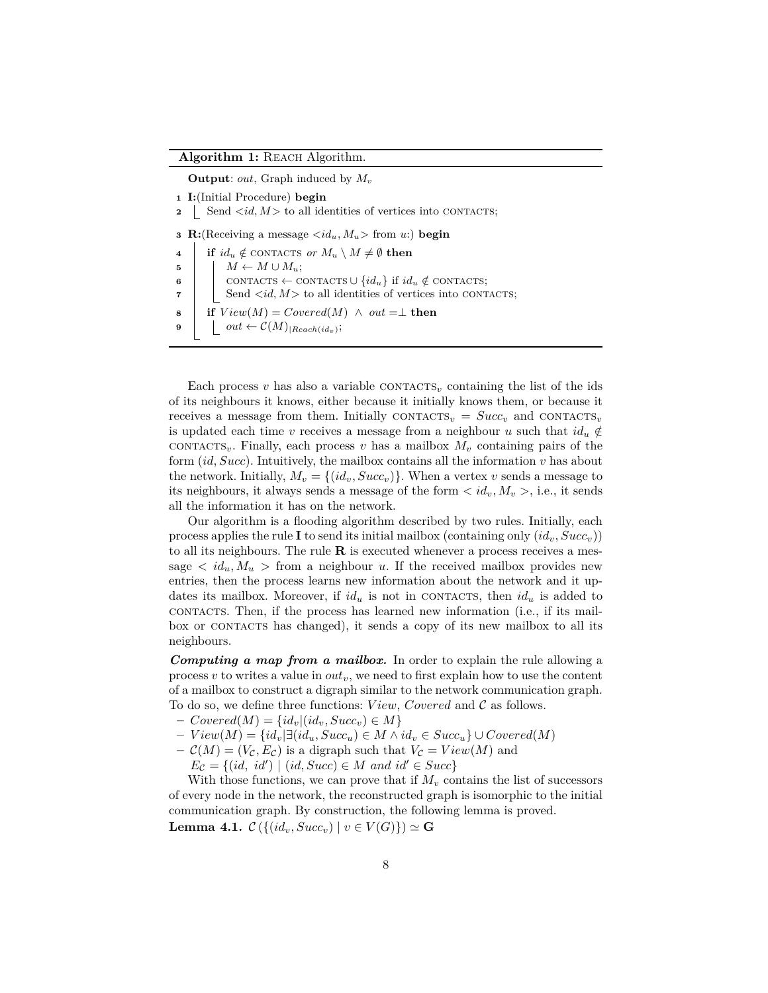#### Algorithm 1: REACH Algorithm.

**Output**: *out*, Graph induced by *M<sup>v</sup>*

**<sup>1</sup> I:**(Initial Procedure) **begin**

**2** Send  $\langle id, M \rangle$  to all identities of vertices into CONTACTS;

**3 R:**(Receiving a message  $\langle id_u, M_u \rangle$  from *u*:) **begin** 

 **if**  $id_u \notin$  CONTACTS *or*  $M_u \setminus M \neq \emptyset$  then  $M \leftarrow M \cup M_u$ ; contacts ← contacts ∪ {*id<sub>u</sub>*} if *id<sub>u</sub>* ∉ contacts; Send  $\langle id, M \rangle$  to all identities of vertices into CONTACTS; **if**  $View(M) = Covered(M) \wedge out = \perp$  **then**  $\downarrow \quad out \leftarrow \mathcal{C}(M)_{|Reach(id_v)};$ 

Each process *v* has also a variable CONTACTS<sub>*v*</sub> containing the list of the ids of its neighbours it knows, either because it initially knows them, or because it receives a message from them. Initially CONTACTS<sub>*v*</sub> =  $Succ_v$  and CONTACTS<sub>*v*</sub> is updated each time *v* receives a message from a neighbour *u* such that  $id_u \notin$ contacts<sub>v</sub>. Finally, each process v has a mailbox  $M<sub>v</sub>$  containing pairs of the form (*id, Succ*). Intuitively, the mailbox contains all the information *v* has about the network. Initially,  $M_v = \{(id_v, Succ_v)\}\$ . When a vertex *v* sends a message to its neighbours, it always sends a message of the form  $\langle id_n, M_v \rangle$ , i.e., it sends all the information it has on the network.

Our algorithm is a flooding algorithm described by two rules. Initially, each process applies the rule **I** to send its initial mailbox (containing only  $(id_v, Succ_v)$ ) to all its neighbours. The rule **R** is executed whenever a process receives a message  $\langle id_u, M_u \rangle$  from a neighbour *u*. If the received mailbox provides new entries, then the process learns new information about the network and it updates its mailbox. Moreover, if  $id_u$  is not in CONTACTS, then  $id_u$  is added to contacts. Then, if the process has learned new information (i.e., if its mailbox or contacts has changed), it sends a copy of its new mailbox to all its neighbours.

*Computing a map from a mailbox.* In order to explain the rule allowing a process  $v$  to writes a value in  $out_v$ , we need to first explain how to use the content of a mailbox to construct a digraph similar to the network communication graph. To do so, we define three functions: *V iew*, *Covered* and C as follows.

- $Covered(M) = \{id_v | (id_v, Succ_v) \in M\}$
- **–** *V iew*(*M*) = {*idv*|∃(*idu, Succu*) ∈ *M* ∧ *id<sup>v</sup>* ∈ *Succu*} ∪ *Covered*(*M*)
- $C(M) = (V_c, E_c)$  is a digraph such that  $V_c = View(M)$  and

 $E_{\mathcal{C}} = \{(id, id') \mid (id, Succ) \in M \text{ and } id' \in Succ\}$ 

With those functions, we can prove that if  $M_v$  contains the list of successors of every node in the network, the reconstructed graph is isomorphic to the initial communication graph. By construction, the following lemma is proved.

**Lemma 4.1.**  $\mathcal{C}(\{(id_v, Succ_v) | v \in V(G)\}) \simeq \mathbf{G}$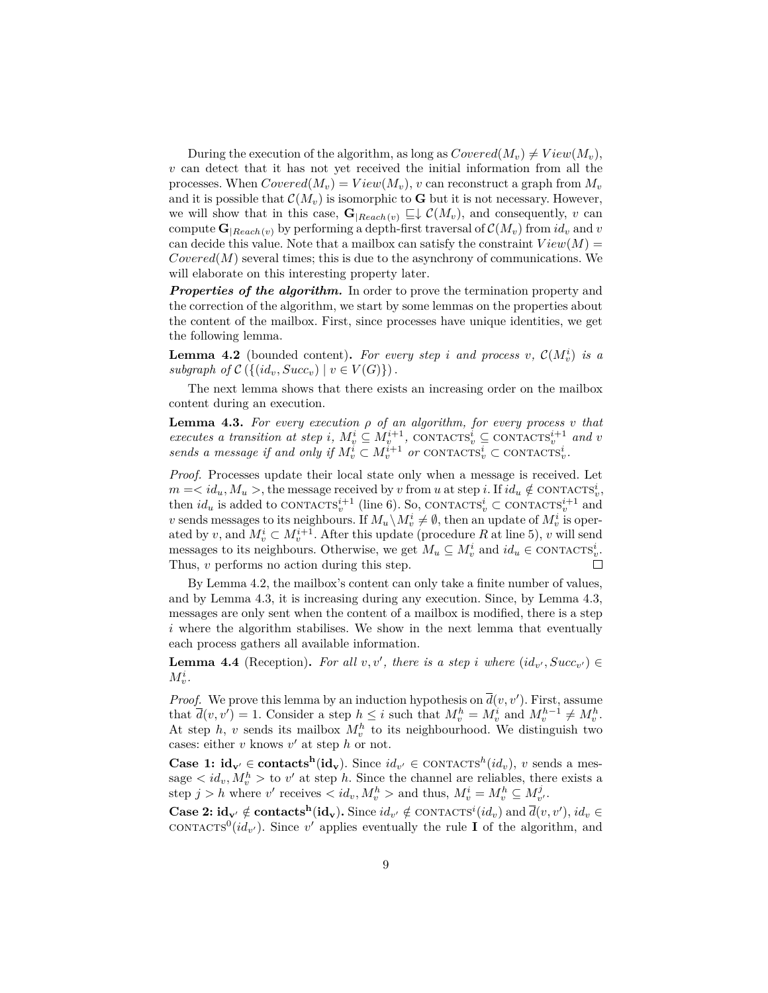During the execution of the algorithm, as long as  $Covered(M_v) \neq View(M_v)$ , *v* can detect that it has not yet received the initial information from all the processes. When  $Covered(M_v) = View(M_v)$ , *v* can reconstruct a graph from  $M_v$ and it is possible that  $\mathcal{C}(M_v)$  is isomorphic to **G** but it is not necessary. However, we will show that in this case,  $\mathbf{G}_{|Reach(v)} \subseteq \downarrow \mathcal{C}(M_v)$ , and consequently, *v* can compute  $\mathbf{G}_{|Reach(v)}$  by performing a depth-first traversal of  $\mathcal{C}(M_v)$  from  $id_v$  and  $v$ can decide this value. Note that a mailbox can satisfy the constraint  $View(M) =$ *Covered*(*M*) several times; this is due to the asynchrony of communications. We will elaborate on this interesting property later.

*Properties of the algorithm.* In order to prove the termination property and the correction of the algorithm, we start by some lemmas on the properties about the content of the mailbox. First, since processes have unique identities, we get the following lemma.

**Lemma 4.2** (bounded content). For every step *i* and process  $v$ ,  $\mathcal{C}(M_v^i)$  is a *subgraph of*  $C\left(\{(id_v, Succ_v) \mid v \in V(G)\}\right)$ .

The next lemma shows that there exists an increasing order on the mailbox content during an execution.

**Lemma 4.3.** For every execution  $\rho$  of an algorithm, for every process  $v$  that *executes a transition at step <i>i*,  $M_v^i \subseteq M_v^{i+1}$ , CONTACTS<sub>*v*</sub></sub><sup>*i*</sup> CONTACTS<sub>*v*</sub><sup>*i*+1</sup> and *v sends a message if and only if*  $M_v^i \subset M_v^{i+1}$  *or* CONTACTS<sup>*i*</sup></sup>  $\subset$  CONTACTS<sup>*i*</sup></sup>

*Proof.* Processes update their local state only when a message is received. Let  $m = \langle id_u, M_u \rangle$ , the message received by *v* from *u* at step *i*. If  $id_u \notin \text{CONTACS}_v^i$ , then  $id_u$  is added to CONTACTS<sup>*i*+1</sup> (line 6). So, CONTACTS<sup>*i*</sup></sup><sub>v</sub> ⊂ CONTACTS<sup>*i*+1</sup> and *v* sends messages to its neighbours. If  $M_u \backslash M_v^i \neq \emptyset$ , then an update of  $M_v^i$  is operated by *v*, and  $M_v^i \subset M_v^{i+1}$ . After this update (procedure *R* at line 5), *v* will send messages to its neighbours. Otherwise, we get  $M_u \subseteq M_v^i$  and  $id_u \in \text{CONTACTS}_v^i$ . Thus, *v* performs no action during this step.  $\Box$ 

By Lemma 4.2, the mailbox's content can only take a finite number of values, and by Lemma 4.3, it is increasing during any execution. Since, by Lemma 4.3, messages are only sent when the content of a mailbox is modified, there is a step *i* where the algorithm stabilises. We show in the next lemma that eventually each process gathers all available information.

**Lemma 4.4** (Reception). For all  $v, v'$ , there is a step *i* where  $(id_{v'}, Succ_{v'}) \in$  $M_v^i$ .

*Proof.* We prove this lemma by an induction hypothesis on  $\overline{d}(v, v')$ . First, assume that  $\overline{d}(v, v') = 1$ . Consider a step  $h \leq i$  such that  $M_v^h = M_v^i$  and  $M_v^{h-1} \neq M_v^h$ . At step *h*, *v* sends its mailbox  $M_v^h$  to its neighbourhood. We distinguish two cases: either  $v$  knows  $v'$  at step  $h$  or not.

**Case 1: id<sub><b>v**</sub>  $\in$  **contacts<sup>h</sup>**(**id<sub><b>v**</sub>). Since  $id_{v'} \in$  **cONTACTS<sup>h</sup>(***id*<sub>*v*</sub>), *v* sends a message  $\langle id_v, M_v^h \rangle$  to  $v'$  at step *h*. Since the channel are reliables, there exists a step  $j > h$  where  $v'$  receives  $\langle id_v, M_v^h \rangle$  and thus,  $M_v^i = M_v^h \subseteq M_{v'}^j$ .

**Case 2: id<sub><b>v**'</sub>  $\notin$  **contacts<sup>h</sup>**(**id<sub><b>v**</sub>)</sub>. Since *id*<sub>*v*'</sub>  $\notin$  CONTACTS<sup>*i*</sup>(*id*<sub>*v*</sub>)</sub> and  $\overline{d}(v, v')$ , *id*<sub>*v*</sub>  $\in$ contacts<sup>0</sup>( $id_{v'}$ ). Since  $v'$  applies eventually the rule **I** of the algorithm, and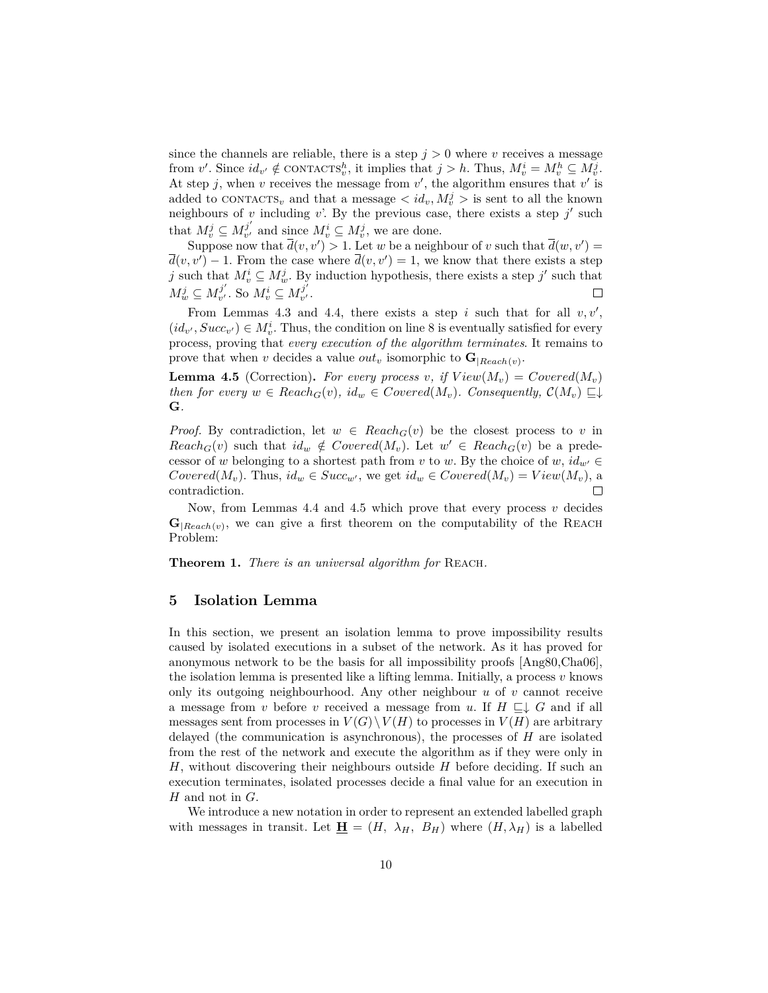since the channels are reliable, there is a step  $j > 0$  where  $v$  receives a message from *v'*. Since  $id_{v'} \notin \text{CONTACTS}_v^h$ , it implies that  $j > h$ . Thus,  $M_v^i = M_v^h \subseteq M_v^j$ . At step  $j$ , when  $v$  receives the message from  $v'$ , the algorithm ensures that  $v'$  is added to CONTACTS<sub>*v*</sub> and that a message  $\langle id_v, M_v^j \rangle$  is sent to all the known neighbours of *v* including *v*'. By the previous case, there exists a step  $j'$  such that  $M_v^j \subseteq M_{v'}^{j'}$  $v'_{v'}$  and since  $M_v^i \subseteq M_v^j$ , we are done.

Suppose now that  $\overline{d}(v, v') > 1$ . Let *w* be a neighbour of *v* such that  $\overline{d}(w, v') =$  $\overline{d}(v, v') - 1$ . From the case where  $\overline{d}(v, v') = 1$ , we know that there exists a step *j* such that  $M_v^i \subseteq M_w^j$ . By induction hypothesis, there exists a step *j*' such that  $M_w^j \subseteq M_{v'}^{j'}$  $w^{j'}$ . So  $M_v^i \subseteq M_{v'}^{j'}$  $\frac{j}{v'}$  .  $\Box$ 

From Lemmas 4.3 and 4.4, there exists a step  $i$  such that for all  $v, v'$ ,  $(id_{v'}, Succ_{v'}) \in M_v^i$ . Thus, the condition on line 8 is eventually satisfied for every process, proving that *every execution of the algorithm terminates*. It remains to prove that when *v* decides a value *out<sub>v</sub>* isomorphic to  $\mathbf{G}_{|Reach(v)}$ .

**Lemma 4.5** (Correction). For every process *v*, if  $View(M_v) = Covered(M_v)$ *then for every*  $w \in$  *Reach*<sub>*G*</sub>(*v*)*, id*<sub>*w*</sub>  $\in$  *Covered*(*M<sub><i>v*</sub>)</sub>. *Consequently,*  $\mathcal{C}(M_v) \sqsubseteq \downarrow$ **G***.*

*Proof.* By contradiction, let  $w \in Reach_G(v)$  be the closest process to *v* in *Reach<sub>G</sub>*(*v*) such that  $id_w \notin \text{Covered}(M_v)$ . Let  $w' \in \text{Reach}_G(v)$  be a predecessor of *w* belonging to a shortest path from *v* to *w*. By the choice of *w*,  $id_{w'} \in$ *Covered*( $M_v$ ). Thus,  $id_w \in Succ_{w'}$ , we get  $id_w \in Covered(M_v) = View(M_v)$ , a contradiction. □

Now, from Lemmas 4.4 and 4.5 which prove that every process *v* decides  $\mathbf{G}_{|Reach(v)}$ , we can give a first theorem on the computability of the REACH Problem:

**Theorem 1.** *There is an universal algorithm for* Reach*.*

## **5 Isolation Lemma**

In this section, we present an isolation lemma to prove impossibility results caused by isolated executions in a subset of the network. As it has proved for anonymous network to be the basis for all impossibility proofs [Ang80,Cha06], the isolation lemma is presented like a lifting lemma. Initially, a process  $v$  knows only its outgoing neighbourhood. Any other neighbour *u* of *v* cannot receive a message from *v* before *v* received a message from *u*. If  $H \subseteq \downarrow G$  and if all messages sent from processes in  $V(G) \setminus V(H)$  to processes in  $V(H)$  are arbitrary delayed (the communication is asynchronous), the processes of *H* are isolated from the rest of the network and execute the algorithm as if they were only in *H*, without discovering their neighbours outside *H* before deciding. If such an execution terminates, isolated processes decide a final value for an execution in *H* and not in *G*.

We introduce a new notation in order to represent an extended labelled graph with messages in transit. Let  $\underline{\mathbf{H}} = (H, \lambda_H, B_H)$  where  $(H, \lambda_H)$  is a labelled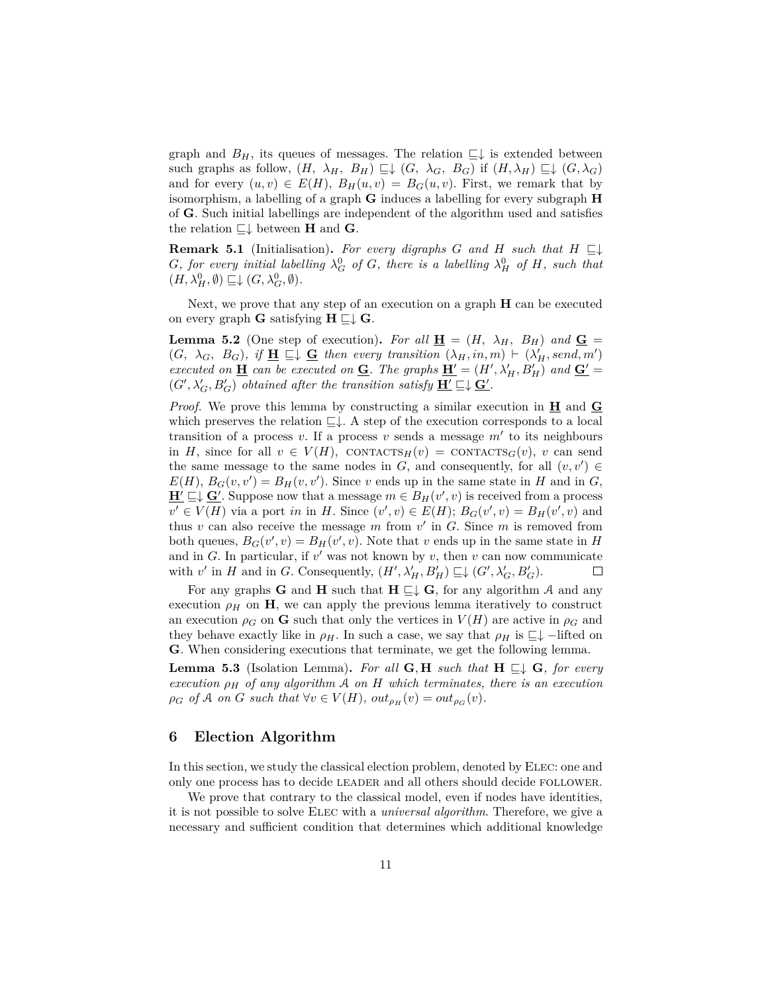graph and  $B_H$ , its queues of messages. The relation  $\subseteq \downarrow$  is extended between such graphs as follow,  $(H, \lambda_H, B_H) \sqsubseteq \downarrow (G, \lambda_G, B_G)$  if  $(H, \lambda_H) \sqsubseteq \downarrow (G, \lambda_G)$ and for every  $(u, v) \in E(H)$ ,  $B_H(u, v) = B_G(u, v)$ . First, we remark that by isomorphism, a labelling of a graph **G** induces a labelling for every subgraph **H** of **G**. Such initial labellings are independent of the algorithm used and satisfies the relation  $\sqsubseteq \downarrow$  between **H** and **G**.

**Remark 5.1** (Initialisation). For every digraphs G and H such that  $H \subseteq \downarrow$  $G$ *, for every initial labelling*  $\lambda_G^0$  *of*  $G$ *, there is a labelling*  $\lambda_H^0$  *of*  $H$ *, such that*  $(H, \lambda_H^0, \emptyset) \sqsubseteq \downarrow (G, \lambda_G^0, \emptyset).$ 

Next, we prove that any step of an execution on a graph **H** can be executed on every graph **G** satisfying  $H \sqsubset \downarrow G$ .

**Lemma 5.2** (One step of execution). For all  $H = (H, \lambda_H, B_H)$  and  $G =$  $(G, \lambda_G, B_G)$ , if  $\underline{\mathbf{H}} \subseteq \downarrow \underline{\mathbf{G}}$  then every transition  $(\lambda_H, in, m) \vdash (\lambda'_H, send, m')$ *executed on*  $\underline{\mathbf{H}}$  *can be executed on*  $\underline{\mathbf{G}}$ *. The graphs*  $\underline{\mathbf{H}}' = (H', \lambda'_H, B'_H)$  *and*  $\underline{\mathbf{G}}' =$  $(G', \lambda'_G, B'_G)$  *obtained after the transition satisfy*  $\underline{\mathbf{H}'} \subseteq \downarrow \underline{\mathbf{G}'}$ .

*Proof.* We prove this lemma by constructing a similar execution in  $\underline{H}$  and  $\underline{G}$ which preserves the relation  $\sqsubseteq \downarrow$ . A step of the execution corresponds to a local transition of a process  $v$ . If a process  $v$  sends a message  $m'$  to its neighbours in *H*, since for all  $v \in V(H)$ , CONTACTS<sub>H</sub>(*v*) = CONTACTS<sub>G</sub>(*v*), *v* can send the same message to the same nodes in  $G$ , and consequently, for all  $(v, v') \in$  $E(H)$ ,  $B_G(v, v') = B_H(v, v')$ . Since *v* ends up in the same state in *H* and in *G*,  $\underline{\mathbf{H'}} \sqsubseteq \downarrow \underline{\mathbf{G'}}$ . Suppose now that a message  $m \in B_H(v', v)$  is received from a process  $v' \in V(H)$  via a port *in* in *H*. Since  $(v', v) \in E(H)$ ;  $B_G(v', v) = B_H(v', v)$  and thus  $v$  can also receive the message  $m$  from  $v'$  in  $G$ . Since  $m$  is removed from both queues,  $B_G(v', v) = B_H(v', v)$ . Note that *v* ends up in the same state in *H* and in  $G$ . In particular, if  $v'$  was not known by  $v$ , then  $v$  can now communicate with  $v'$  in *H* and in *G*. Consequently,  $(H', \lambda'_H, B'_H) \sqsubseteq \downarrow (G', \lambda'_G, B'_G)$ .  $\Box$ 

For any graphs **G** and **H** such that  $H \subseteq \downarrow G$ , for any algorithm A and any execution  $\rho$ *H* on **H**, we can apply the previous lemma iteratively to construct an execution  $\rho_G$  on **G** such that only the vertices in  $V(H)$  are active in  $\rho_G$  and they behave exactly like in  $\rho_H$ . In such a case, we say that  $\rho_H$  is  $\subseteq \downarrow$  −lifted on **G**. When considering executions that terminate, we get the following lemma.

**Lemma 5.3** (Isolation Lemma). For all  $G$ ,  $H$  *such that*  $H \subseteq \downarrow G$ *, for every execution ρ<sup>H</sup> of any algorithm* A *on H which terminates, there is an execution*  $\rho_G$  *of A on G such that*  $\forall v \in V(H)$ *,*  $out_{\rho_H}(v) = out_{\rho_G}(v)$ *.* 

## **6 Election Algorithm**

In this section, we study the classical election problem, denoted by Elec: one and only one process has to decide leader and all others should decide follower.

We prove that contrary to the classical model, even if nodes have identities, it is not possible to solve Elec with a *universal algorithm*. Therefore, we give a necessary and sufficient condition that determines which additional knowledge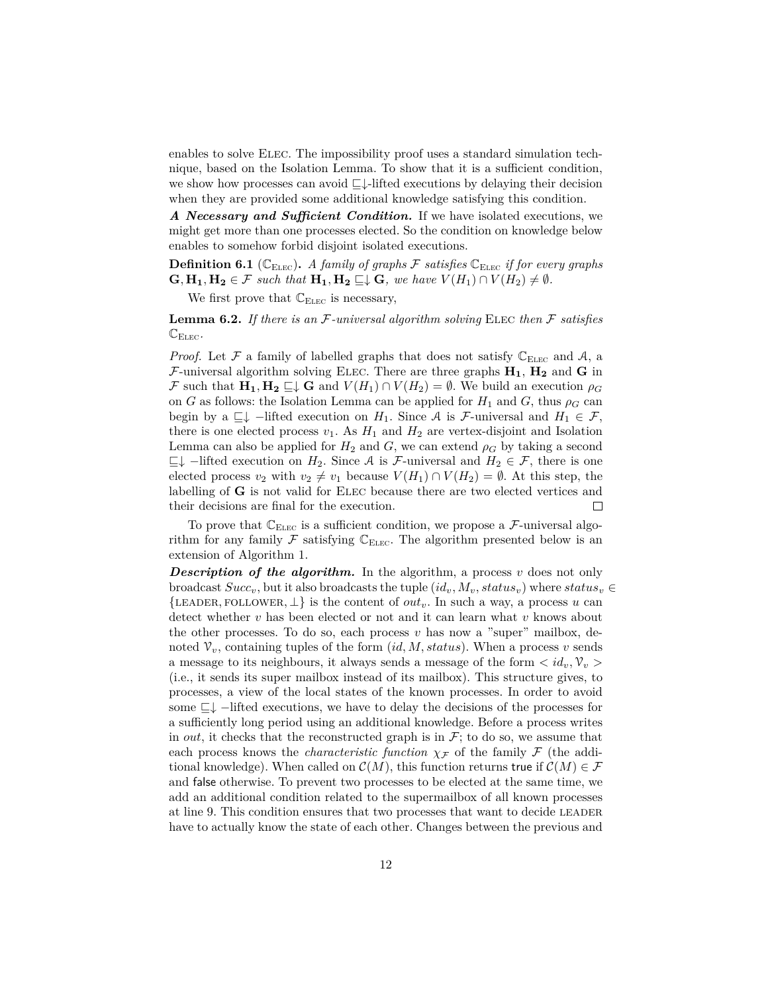enables to solve Elec. The impossibility proof uses a standard simulation technique, based on the Isolation Lemma. To show that it is a sufficient condition, we show how processes can avoid  $\subseteq$  +lifted executions by delaying their decision when they are provided some additional knowledge satisfying this condition.

*A Necessary and Sufficient Condition.* If we have isolated executions, we might get more than one processes elected. So the condition on knowledge below enables to somehow forbid disjoint isolated executions.

**Definition 6.1** ( $\mathbb{C}_{\text{ELEC}}$ ). *A family of graphs*  $\mathcal F$  *satisfies*  $\mathbb{C}_{\text{ELEC}}$  *if for every graphs*  $\mathbf{G}, \mathbf{H}_1, \mathbf{H}_2 \in \mathcal{F}$  such that  $\mathbf{H}_1, \mathbf{H}_2 \sqsubseteq \downarrow \mathbf{G}$ , we have  $V(H_1) \cap V(H_2) \neq \emptyset$ .

We first prove that  $\mathbb{C}_{\text{ELEC}}$  is necessary,

**Lemma 6.2.** *If there is an* F*-universal algorithm solving* Elec *then* F *satisfies*  $\mathbb{C}_{\text{ELEC}}$ .

*Proof.* Let F a family of labelled graphs that does not satisfy  $\mathbb{C}_{\text{ELEC}}$  and A, a  $\mathcal{F}$ -universal algorithm solving ELEC. There are three graphs  $H_1$ ,  $H_2$  and  $G$  in F such that  $\mathbf{H}_1, \mathbf{H}_2 \sqsubseteq \downarrow \mathbf{G}$  and  $V(H_1) \cap V(H_2) = \emptyset$ . We build an execution  $\rho_G$ on *G* as follows: the Isolation Lemma can be applied for  $H_1$  and *G*, thus  $\rho_G$  can begin by a  $\sqsubseteq \downarrow$  −lifted execution on *H*<sub>1</sub>. Since *A* is *F*-universal and *H*<sub>1</sub> ∈ *F*, there is one elected process  $v_1$ . As  $H_1$  and  $H_2$  are vertex-disjoint and Isolation Lemma can also be applied for  $H_2$  and  $G$ , we can extend  $\rho_G$  by taking a second  $\sqsubseteq \downarrow$  −lifted execution on *H*<sub>2</sub>. Since *A* is *F*-universal and *H*<sub>2</sub> ∈ *F*, there is one elected process  $v_2$  with  $v_2 \neq v_1$  because  $V(H_1) \cap V(H_2) = \emptyset$ . At this step, the labelling of **G** is not valid for Elec because there are two elected vertices and their decisions are final for the execution. □

To prove that  $\mathbb{C}_{\text{ELEC}}$  is a sufficient condition, we propose a  $\mathcal{F}\text{-universal algo-}$ rithm for any family  $\mathcal F$  satisfying  $\mathbb C_{\text{ELEC}}$ . The algorithm presented below is an extension of Algorithm 1.

**Description of the algorithm.** In the algorithm, a process *v* does not only broadcast  $Succ_v$ , but it also broadcasts the tuple  $(id_v, M_v, status_v)$  where  $status_v \in$  $\{\text{LEADER}, \text{FOLLOWER}, \perp\}$  is the content of  $out_v$ . In such a way, a process *u* can detect whether *v* has been elected or not and it can learn what *v* knows about the other processes. To do so, each process *v* has now a "super" mailbox, denoted  $V_v$ , containing tuples of the form  $(id, M, status)$ . When a process v sends a message to its neighbours, it always sends a message of the form  $\langle id_v, \mathcal{V}_v \rangle$ (i.e., it sends its super mailbox instead of its mailbox). This structure gives, to processes, a view of the local states of the known processes. In order to avoid some  $\sqsubseteq \downarrow$  −lifted executions, we have to delay the decisions of the processes for a sufficiently long period using an additional knowledge. Before a process writes in *out*, it checks that the reconstructed graph is in  $\mathcal{F}$ ; to do so, we assume that each process knows the *characteristic function*  $\chi_F$  of the family F (the additional knowledge). When called on  $\mathcal{C}(M)$ , this function returns true if  $\mathcal{C}(M) \in \mathcal{F}$ and false otherwise. To prevent two processes to be elected at the same time, we add an additional condition related to the supermailbox of all known processes at line 9. This condition ensures that two processes that want to decide LEADER have to actually know the state of each other. Changes between the previous and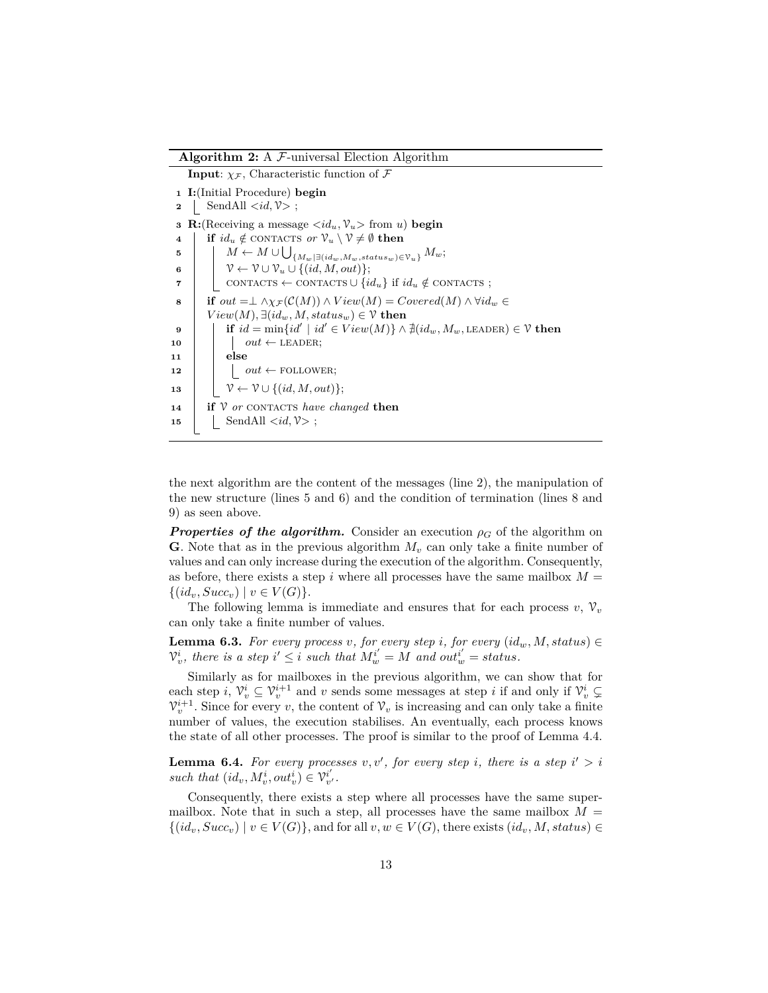**Algorithm 2:** A F-universal Election Algorithm

**Input**:  $\chi_F$ , Characteristic function of F **I:**(Initial Procedure) **begin**  $\left| \right.$  SendAll  $\langle id, \mathcal{V} \rangle$ ; **R:**(Receiving a message  $\langle id_u, \mathcal{V}_u \rangle$  from *u*) **begin if**  $id_u \notin$  CONTACTS *or*  $\mathcal{V}_u \setminus \mathcal{V} \neq \emptyset$  then  $\mathbf{5}$   $M \leftarrow M \cup \bigcup_{\{M_w | \exists (id_w, M_w, status_w) \in \mathcal{V}_u\}} M_w;$   $\bigvee \qquad \qquad \mathcal{V} \leftarrow \mathcal{V} \cup \mathcal{V}_u \cup \{(id, M, out)\};$  contacts ← contacts ∪ {*id<sub>u</sub>*} if *id<sub>u</sub>* ∉ contacts ; **if**  $out = \bot \land \chi_{\mathcal{F}}(\mathcal{C}(M)) \land View(M) = Covered(M) \land \forall id_w \in$  $View(M), \exists (id_w, M, status_w) \in \mathcal{V}$  then  $\mathbf{p} \quad | \quad \text{if} \ \mathit{id} = \min\{\mathit{id}' \mid \mathit{id}' \in View(M)\} \wedge \nexists(\mathit{id}_w, M_w, \text{LEADER}) \in \mathcal{V} \text{ then}$  | |  $out \leftarrow$  LEADER; **<sup>11</sup> else**  $\vert$   $\vert$  *out*  $\leftarrow$  FOLLOWER;  $\downarrow \forall \leftarrow \forall \cup \{(id, M, out)\};$  **if** V *or* CONTACTS have changed **then** 15 | SendAll  $\langle id, \mathcal{V} \rangle$ ;

the next algorithm are the content of the messages (line 2), the manipulation of the new structure (lines 5 and 6) and the condition of termination (lines 8 and 9) as seen above.

*Properties of the algorithm.* Consider an execution  $\rho_G$  of the algorithm on **G**. Note that as in the previous algorithm  $M_v$  can only take a finite number of values and can only increase during the execution of the algorithm. Consequently, as before, there exists a step *i* where all processes have the same mailbox  $M =$  $\{(id_v, Succ_v) \mid v \in V(G)\}.$ 

The following lemma is immediate and ensures that for each process  $v, \mathcal{V}_v$ can only take a finite number of values.

**Lemma 6.3.** For every process  $v$ , for every step *i*, for every  $(id_w, M, status) \in$  $\mathcal{V}_{v}^{i}$ , there is a step  $i' \leq i$  such that  $M_{w}^{i'} = M$  and  $out_{w}^{i'} =$  status.

Similarly as for mailboxes in the previous algorithm, we can show that for each step *i*,  $\mathcal{V}_v^i \subseteq \mathcal{V}_v^{i+1}$  and *v* sends some messages at step *i* if and only if  $\mathcal{V}_v^i \subsetneq$  $\mathcal{V}_v^{i+1}$ . Since for every *v*, the content of  $\mathcal{V}_v$  is increasing and can only take a finite number of values, the execution stabilises. An eventually, each process knows the state of all other processes. The proof is similar to the proof of Lemma 4.4.

**Lemma 6.4.** For every processes  $v, v'$ , for every step *i*, there is a step  $i' > i$ such that  $(id_v, M_v^i, out_v^i) \in V_{v'}^{i'}$ .

Consequently, there exists a step where all processes have the same supermailbox. Note that in such a step, all processes have the same mailbox  $M =$  $\{(id_v, Succ_v) \mid v \in V(G)\}$ , and for all  $v, w \in V(G)$ , there exists  $(id_v, M, status) \in$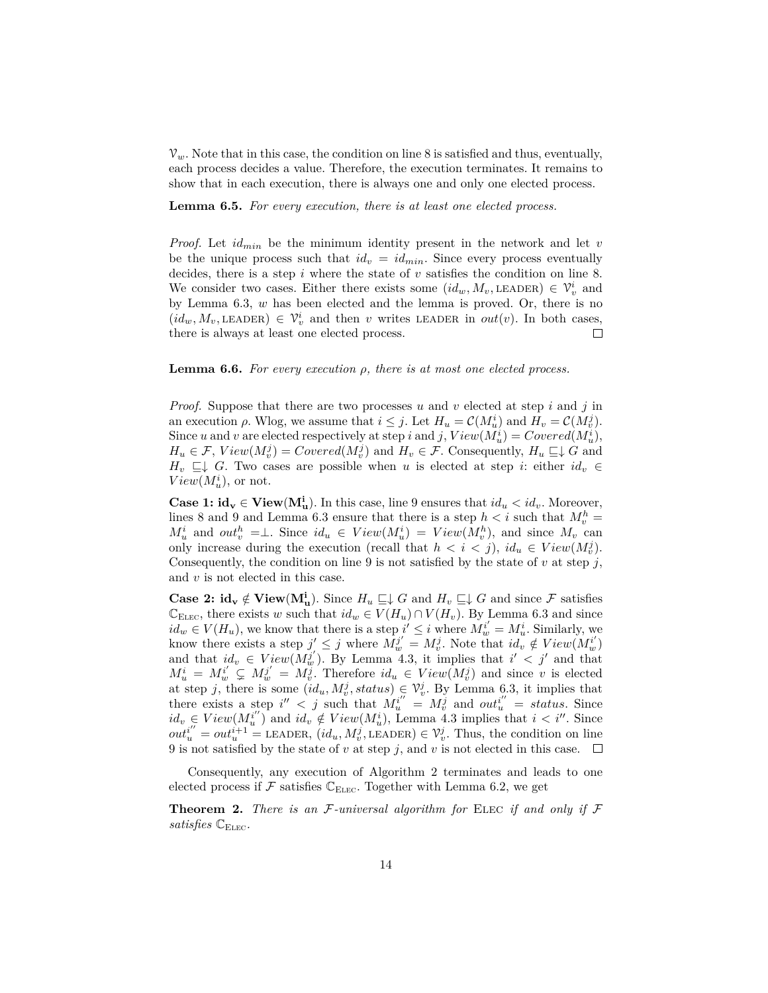$\mathcal{V}_w$ . Note that in this case, the condition on line 8 is satisfied and thus, eventually, each process decides a value. Therefore, the execution terminates. It remains to show that in each execution, there is always one and only one elected process.

**Lemma 6.5.** *For every execution, there is at least one elected process.*

*Proof.* Let *idmin* be the minimum identity present in the network and let *v* be the unique process such that  $id_v = id_{min}$ . Since every process eventually decides, there is a step *i* where the state of *v* satisfies the condition on line 8. We consider two cases. Either there exists some  $(id_w, M_v, \text{LEADER}) \in \mathcal{V}^i_v$  and by Lemma 6.3, *w* has been elected and the lemma is proved. Or, there is no  $(id_w, M_v, \text{LEADER}) \in \mathcal{V}_v^i$  and then *v* writes LEADER in *out*(*v*). In both cases, there is always at least one elected process. □

**Lemma 6.6.** *For every execution ρ, there is at most one elected process.*

*Proof.* Suppose that there are two processes *u* and *v* elected at step *i* and *j* in an execution  $\rho$ . Wlog, we assume that  $i \leq j$ . Let  $H_u = \mathcal{C}(M_u^i)$  and  $H_v = \mathcal{C}(M_v^j)$ . Since *u* and *v* are elected respectively at step *i* and *j*,  $View(M_u^i) = Covered(M_u^i)$ ,  $H_u \in \mathcal{F}$ ,  $View(M_v^j) = Covered(M_v^j)$  and  $H_v \in \mathcal{F}$ . Consequently,  $H_u \subseteq \downarrow G$  and  $H_v \subseteq \downarrow G$ . Two cases are possible when *u* is elected at step *i*: either  $id_v \in$  $View(M_u^i)$ , or not.

**Case 1: id<sub>v</sub>**  $\in$  **View**( $M_u^i$ ). In this case, line 9 ensures that *id<sub>u</sub>*  $\lt id_v$ . Moreover, lines 8 and 9 and Lemma 6.3 ensure that there is a step  $h < i$  such that  $M_v^h$  $M_u^i$  and *out*<sup>*h*</sup></sup> $\psi$  =  $\bot$ . Since  $id_u \in View(M_u^i) = View(M_v^h)$ , and since  $M_v$  can only increase during the execution (recall that  $h < i < j$ ),  $id_u \in View(M_v^j)$ . Consequently, the condition on line 9 is not satisfied by the state of  $v$  at step  $j$ , and *v* is not elected in this case.

**Case 2: id<sub>v</sub>**  $\notin$  **View**( $\mathbf{M}_{\mathbf{u}}^{\mathbf{i}}$ ). Since  $H_u \sqsubseteq \downarrow G$  and  $H_v \sqsubseteq \downarrow G$  and since  $\mathcal F$  satisfies  $\mathbb{C}_{\text{ELEC}}$ , there exists *w* such that  $id_w \in V(H_u) \cap V(H_v)$ . By Lemma 6.3 and since  $id_w \in V(H_u)$ , we know that there is a step  $i' \leq i$  where  $M_w^{i'} = M_u^i$ . Similarly, we know there exists a step  $j' \leq j$  where  $M_w^{j'} = M_v^j$ . Note that  $id_v \notin View(M_w^{i'})$ and that  $id_v \in View(M_w^{j'})$ . By Lemma 4.3, it implies that  $i' < j'$  and that  $M_u^i = M_w^{i'} \subsetneq M_v^{j'} = M_v^{j'}$ . Therefore  $id_u \in View(M_v^j)$  and since *v* is elected at step *j*, there is some  $(id_u, M_v^j, status) \in V_v^j$ . By Lemma 6.3, it implies that there exists a step  $i'' < j$  such that  $M_u^{i''} = M_v^j$  and  $out_u^{i''} = status$ . Since  $id_v \in View(M_u^{i''})$  and  $id_v \notin View(M_u^i)$ , Lemma 4.3 implies that  $i < i''$ . Since  $out_u^{i'} = out_u^{i+1} = \text{LEADER}, (id_u, M_v^j, \text{LEADER}) \in \mathcal{V}_v^j$ . Thus, the condition on line 9 is not satisfied by the state of *v* at step *j*, and *v* is not elected in this case.  $\Box$ 

Consequently, any execution of Algorithm 2 terminates and leads to one elected process if  $\mathcal F$  satisfies  $\mathbb C_{\mathrm{ELEC}}$ . Together with Lemma 6.2, we get

**Theorem 2.** *There is an F-universal algorithm for* ELEC *if and only if* F satisfies  $\mathbb{C}_{\text{Elec}}$ .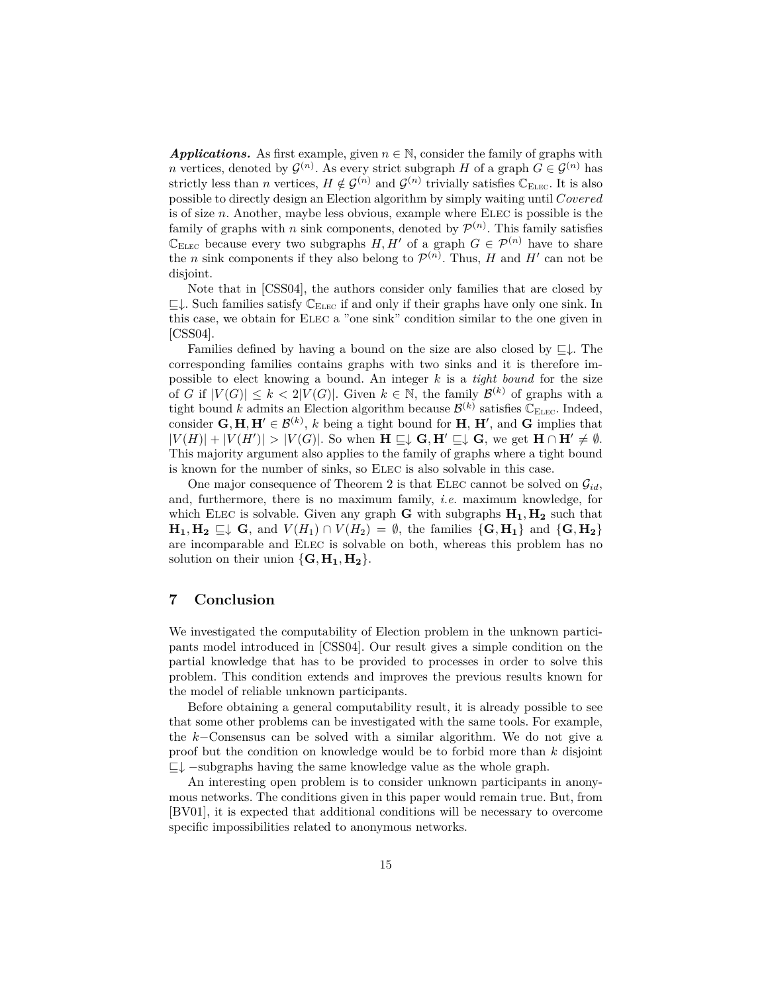*Applications.* As first example, given  $n \in \mathbb{N}$ , consider the family of graphs with *n* vertices, denoted by  $\mathcal{G}^{(n)}$ . As every strict subgraph *H* of a graph  $G \in \mathcal{G}^{(n)}$  has strictly less than *n* vertices,  $H \notin \mathcal{G}^{(n)}$  and  $\mathcal{G}^{(n)}$  trivially satisfies  $\mathbb{C}_{\text{E-LEC}}$ . It is also possible to directly design an Election algorithm by simply waiting until *Covered* is of size *n*. Another, maybe less obvious, example where Elec is possible is the family of graphs with *n* sink components, denoted by  $\mathcal{P}^{(n)}$ . This family satisfies  $\mathbb{C}_{\text{ELEC}}$  because every two subgraphs *H, H'* of a graph  $G \in \mathcal{P}^{(n)}$  have to share the *n* sink components if they also belong to  $\mathcal{P}^{(n)}$ . Thus, *H* and *H*<sup>*l*</sup> can not be disjoint.

Note that in [CSS04], the authors consider only families that are closed by  $⊑$ . Such families satisfy  $\mathbb{C}_{\text{ELEC}}$  if and only if their graphs have only one sink. In this case, we obtain for Elec a "one sink" condition similar to the one given in [CSS04].

Families defined by having a bound on the size are also closed by  $\sqsubseteq \downarrow$ . The corresponding families contains graphs with two sinks and it is therefore impossible to elect knowing a bound. An integer *k* is a *tight bound* for the size of *G* if  $|V(G)| \leq k < 2|V(G)|$ . Given  $k \in \mathbb{N}$ , the family  $\mathcal{B}^{(k)}$  of graphs with a tight bound *k* admits an Election algorithm because  $\mathcal{B}^{(k)}$  satisfies  $\mathbb{C}_{\text{E-LEC}}$ . Indeed, consider  $G, H, H' \in \mathcal{B}^{(k)}$ , *k* being a tight bound for  $H, H'$ , and  $G$  implies that  $|V(H)| + |V(H')| > |V(G)|$ . So when  $\mathbf{H} \subseteq \downarrow \mathbf{G}, \mathbf{H}' \subseteq \downarrow \mathbf{G}$ , we get  $\mathbf{H} \cap \mathbf{H}' \neq \emptyset$ . This majority argument also applies to the family of graphs where a tight bound is known for the number of sinks, so Elec is also solvable in this case.

One major consequence of Theorem 2 is that ELEC cannot be solved on  $\mathcal{G}_{id}$ , and, furthermore, there is no maximum family, *i.e.* maximum knowledge, for which ELEC is solvable. Given any graph  $G$  with subgraphs  $H_1$ ,  $H_2$  such that **H**<sub>1</sub>*,* **H**<sub>2</sub></sub> ⊆↓ **G***,* and *V*(*H*<sub>1</sub>) ∩ *V*(*H*<sub>2</sub>) = ∅, the families {**G***,* **H**<sub>1</sub>} and {**G***,* **H**<sub>2</sub>} are incomparable and Elec is solvable on both, whereas this problem has no solution on their union  $\{G, H_1, H_2\}$ .

## **7 Conclusion**

We investigated the computability of Election problem in the unknown participants model introduced in [CSS04]. Our result gives a simple condition on the partial knowledge that has to be provided to processes in order to solve this problem. This condition extends and improves the previous results known for the model of reliable unknown participants.

Before obtaining a general computability result, it is already possible to see that some other problems can be investigated with the same tools. For example, the *k*−Consensus can be solved with a similar algorithm. We do not give a proof but the condition on knowledge would be to forbid more than *k* disjoint  $\Box$  –subgraphs having the same knowledge value as the whole graph.

An interesting open problem is to consider unknown participants in anonymous networks. The conditions given in this paper would remain true. But, from [BV01], it is expected that additional conditions will be necessary to overcome specific impossibilities related to anonymous networks.